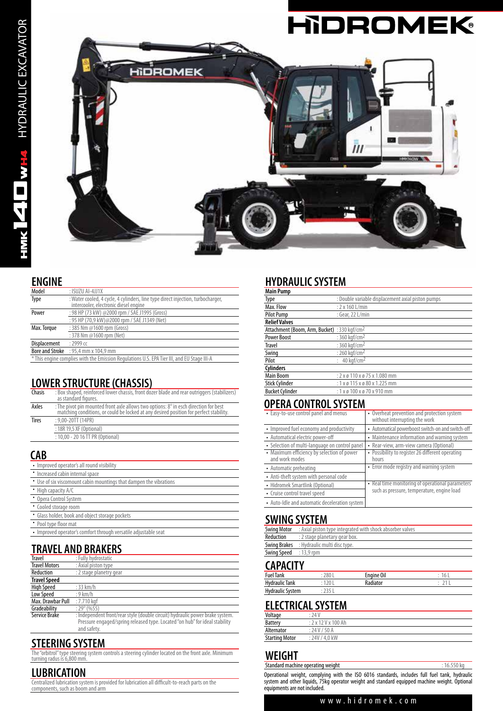

#### **ENGINE**

| Model                                                                                      | $:$ ISUZU AI-4JJ1X                                                                                                       |  |  |
|--------------------------------------------------------------------------------------------|--------------------------------------------------------------------------------------------------------------------------|--|--|
| Type                                                                                       | : Water cooled, 4 cycle, 4 cylinders, line type direct injection, turbocharger,<br>intercooler, electronic diesel engine |  |  |
| : 98 HP (73 kW) @2000 rpm / SAE J1995 (Gross)<br>Power                                     |                                                                                                                          |  |  |
| : 95 HP (70.9 kW)@2000 rpm / SAE J1349 (Net)                                               |                                                                                                                          |  |  |
| : 385 Nm @1600 rpm (Gross)<br>Max. Torque                                                  |                                                                                                                          |  |  |
| : 378 Nm @1600 rpm (Net)                                                                   |                                                                                                                          |  |  |
| Displacement                                                                               | $: 2999$ cc                                                                                                              |  |  |
|                                                                                            | <b>Bore and Stroke</b> : 95.4 mm x 104.9 mm                                                                              |  |  |
| * This engine complies with the Emission Regulations U.S. EPA Tier III, and EU Stage III-A |                                                                                                                          |  |  |

### **LOWER STRUCTURE (CHASSIS)**

| Chasis       | : Box shaped, reinforced lower chassis, front dozer blade and rear outriggers (stabilizers)<br>as standard figures.                                                                   |
|--------------|---------------------------------------------------------------------------------------------------------------------------------------------------------------------------------------|
| Axles        | : The pivot pin mounted front axle allows two options: $8^\circ$ in esch direction for best<br>matching conditions, or could be locked at any desired position for perfect stability. |
| <b>Tires</b> | $: 9.00 - 20TT(14PR)$                                                                                                                                                                 |
|              | : 18R 19,5 XF (Optional)                                                                                                                                                              |
|              | : 10,00 - 20 16 TT PR (Optional)                                                                                                                                                      |
|              |                                                                                                                                                                                       |

### **CAB**

| • Improved operator's all round visibility                         |
|--------------------------------------------------------------------|
| • Increased cabin internal space                                   |
| • Use of six viscomount cabin mountings that dampen the vibrations |
| • High capacity A/C                                                |
| • Opera Control System                                             |
| • Cooled storage room                                              |
| • Glass holder, book and object storage pockets                    |
| • Pool type floor mat                                              |
| • Improved operator's comfort through versatile adjustable seat    |

# **TRAVEL AND BRAKERS**

| Travel               | : Fully hydrostatic                                                           |
|----------------------|-------------------------------------------------------------------------------|
| <b>Travel Motors</b> | : Axial piston type                                                           |
| Reduction            | : 2 stage planetry gear                                                       |
| <b>Travel Speed</b>  |                                                                               |
| <b>High Speed</b>    | $:33$ km/h                                                                    |
| Low Speed            | $: 9$ km/h                                                                    |
| Max. Drawbar Pull    | $:7.710$ kaf                                                                  |
| Gradeability         | $:29^{\circ}(%55)$                                                            |
| Service Brake        | : Independent front/rear style (double circuit) hydraulic power brake system. |
|                      | Pressure engaged/spring released type. Located "on hub" for ideal stability   |
|                      | and safety.                                                                   |

**STEERING SYSTEM**

The "orbitrol" type steering system controls a steering cylinder located on the front axle. Minimum turning radus is 6,800 mm.

### **LUBRICATION**

Centralized lubrication system is provided for lubrication all difficult-to-reach parts on the components, such as boom and arm

### **HYDRAULIC SYSTEM**

| <b>Main Pump</b>                                         |                                                    |
|----------------------------------------------------------|----------------------------------------------------|
| Type                                                     | : Double variable displacement axial piston pumps  |
| Max. Flow                                                | : 2 x 160 L/min                                    |
| Pilot Pump                                               | : Gear, 22 L/min                                   |
| <b>Relief Valves</b>                                     |                                                    |
| Attachment (Boom, Arm, Bucket) : 330 kgf/cm <sup>2</sup> |                                                    |
| <b>Power Boost</b>                                       | : 360 kgf/cm <sup>2</sup>                          |
| <b>Travel</b>                                            | : 360 kaf/cm <sup>2</sup>                          |
| Swing                                                    | : 260 kaf/cm <sup>2</sup>                          |
| Pilot                                                    | : $40 \text{ kaf/cm}^2$                            |
| Cylinders                                                |                                                    |
| Main Boom                                                | $: 2 \times 6$ 110 $\times 6$ 75 $\times$ 1.080 mm |
| Stick Cylinder                                           | : $1 \times 9$ 115 $\times 9$ 80 $\times$ 1.225 mm |
| <b>Bucket Cylinder</b>                                   | $: 1 \times 0 100 \times 0 70 \times 910$ mm       |

### **OPERA CONTROL SYSTEM**

| • Easy-to-use control panel and menus                        | • Overheat prevention and protection system<br>without interrupting the work |  |
|--------------------------------------------------------------|------------------------------------------------------------------------------|--|
| • Improved fuel economy and productivity                     | • Automatical powerboost switch-on and switch-off                            |  |
| • Automatical electric power-off                             | • Maintenance information and warning system                                 |  |
| • Selection of multi-language on control panel               | • Rear-view, arm-view camera (Optional)                                      |  |
| • Maximum efficiency by selection of power<br>and work modes | • Possibility to register 26 different operating<br>hours                    |  |
| • Automatic preheating                                       | • Error mode registry and warning system                                     |  |
| • Anti-theft system with personal code                       |                                                                              |  |
| • Hidromek Smartlink (Optional)                              | • Real time monitoring of operational parameters                             |  |
| • Cruise control travel speed                                | such as pressure, temperature, engine load                                   |  |
| • Auto-Idle and automatic deceleration system                |                                                                              |  |

### **SWING SYSTEM**

| <b>Swing Motor</b>            | : Axial piston type integrated with shock absorber valves |  |  |
|-------------------------------|-----------------------------------------------------------|--|--|
| Reduction                     | : 2 stage planetary gear box.                             |  |  |
|                               | <b>Swing Brakes</b> : Hydraulic multi disc type.          |  |  |
| <b>Swing Speed</b> : 13,9 rpm |                                                           |  |  |

#### **CAPACITY**

| ----------            |        |                   |    |
|-----------------------|--------|-------------------|----|
| <b>Fuel Tank</b>      | 280 L  | <b>Engine Oil</b> | 16 |
| <b>Hydraulic Tank</b> | ' 20 L | adiatorہ          |    |
| Hydraulic System      |        |                   |    |

### **ELECTRICAL SYSTEM**

| Voltage               | : 24 V                     |
|-----------------------|----------------------------|
| Battery               | $: 2 \times 12$ V x 100 Ah |
| Alternator            | : 24V / 50A                |
| <b>Starting Motor</b> | : 24V / 4.0 kW             |

### **WEIGHT**

Standard machine operating weight : 16.550 kg Operational weight, complying with the ISO 6016 standards, includes full fuel tank, hydraulic system and other liquids, 75kg operator weight and standard equipped machine weight. Optional equipments are not included.

#### www.hidromek.com